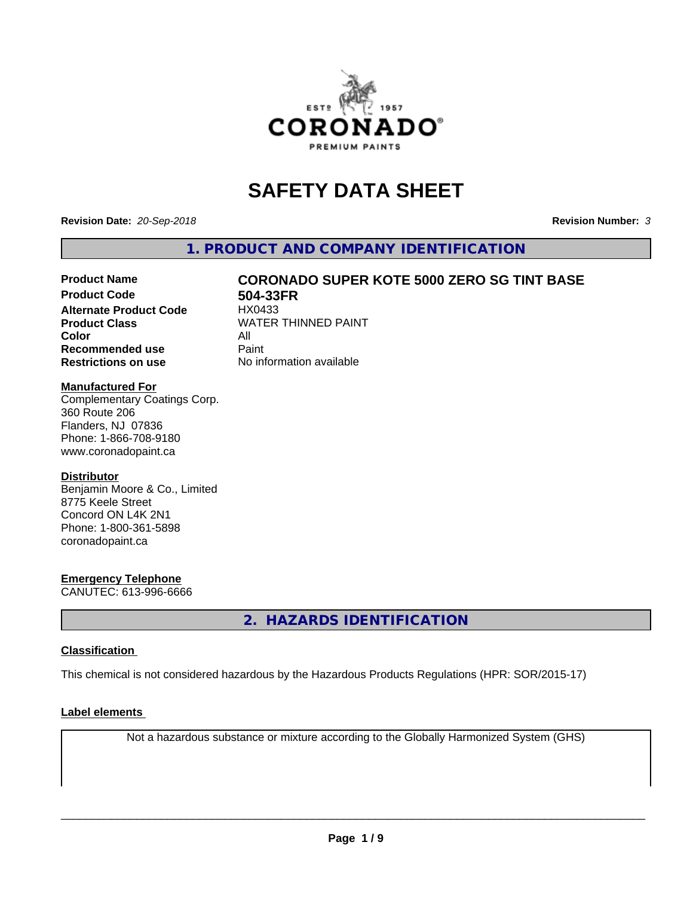

# **SAFETY DATA SHEET**

**Revision Date:** *20-Sep-2018* **Revision Number:** *3*

**1. PRODUCT AND COMPANY IDENTIFICATION**

# Product Name **CORONADO SUPER KOTE 5000 ZERO SG TINT BASE**<br>Product Code 604-33FR

**Alternate Product Code Color** All<br> **Recommended use** Paint **Recommended use Restrictions on use** No information available

**504-33FR**<br>HX0433 **Product Class WATER THINNED PAINT** 

# **Manufactured For**

Complementary Coatings Corp. 360 Route 206 Flanders, NJ 07836 Phone: 1-866-708-9180 www.coronadopaint.ca

# **Distributor**

Benjamin Moore & Co., Limited 8775 Keele Street Concord ON L4K 2N1 Phone: 1-800-361-5898 coronadopaint.ca

# **Emergency Telephone**

CANUTEC: 613-996-6666

**2. HAZARDS IDENTIFICATION**

# **Classification**

This chemical is not considered hazardous by the Hazardous Products Regulations (HPR: SOR/2015-17)

# **Label elements**

Not a hazardous substance or mixture according to the Globally Harmonized System (GHS)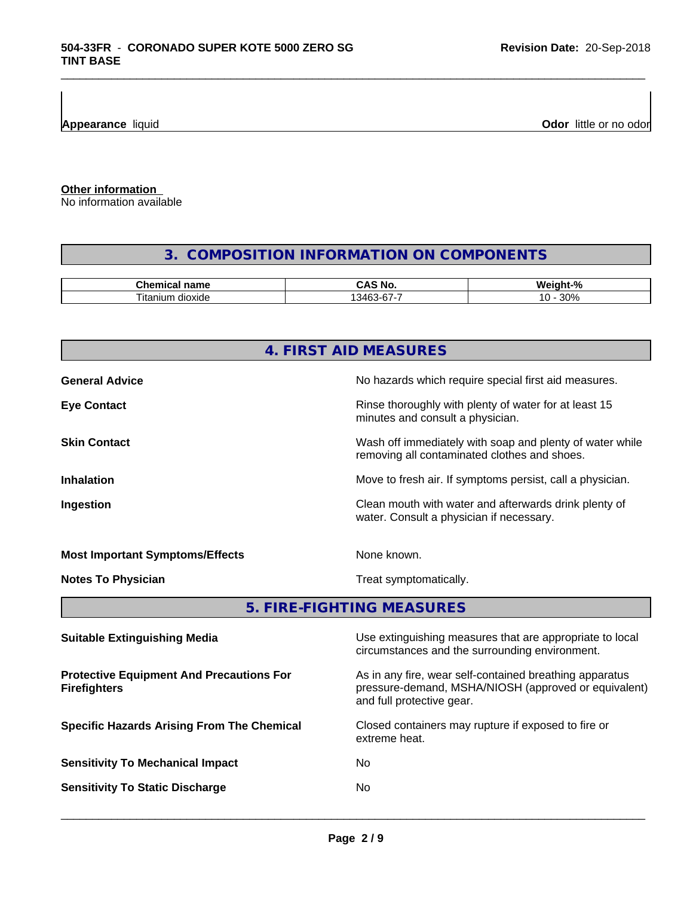**Appearance** liquid **Odor 11 Odor 11 Odor 11 Odor 11 Odor 11 Odor 11 Odor 11 Odor 11 Odor 11 Odor 11 Odor 11 Odor 11 Odor 11 Odor 11 Odor 11 Odor 11 Odor 11 Odor 11**

**Other information**

No information available

# **3. COMPOSITION INFORMATION ON COMPONENTS**

\_\_\_\_\_\_\_\_\_\_\_\_\_\_\_\_\_\_\_\_\_\_\_\_\_\_\_\_\_\_\_\_\_\_\_\_\_\_\_\_\_\_\_\_\_\_\_\_\_\_\_\_\_\_\_\_\_\_\_\_\_\_\_\_\_\_\_\_\_\_\_\_\_\_\_\_\_\_\_\_\_\_\_\_\_\_\_\_\_\_\_\_\_

| name<br>٦Æ.<br>янкан    | n<br>N6<br>.    | £<br>. .<br>w.<br>$\sqrt{2}$    |
|-------------------------|-----------------|---------------------------------|
| dioxide<br>ıtan<br>ilim | 376<br>$-6 - 6$ | 0.00<br>יי<br>.<br><b>JU 70</b> |

|                                                                        | 4. FIRST AID MEASURES                                                                                                                        |  |
|------------------------------------------------------------------------|----------------------------------------------------------------------------------------------------------------------------------------------|--|
| <b>General Advice</b>                                                  | No hazards which require special first aid measures.                                                                                         |  |
| <b>Eye Contact</b>                                                     | Rinse thoroughly with plenty of water for at least 15<br>minutes and consult a physician.                                                    |  |
| <b>Skin Contact</b>                                                    | Wash off immediately with soap and plenty of water while<br>removing all contaminated clothes and shoes.                                     |  |
| <b>Inhalation</b>                                                      | Move to fresh air. If symptoms persist, call a physician.                                                                                    |  |
| Ingestion                                                              | Clean mouth with water and afterwards drink plenty of<br>water. Consult a physician if necessary.                                            |  |
| <b>Most Important Symptoms/Effects</b>                                 | None known.                                                                                                                                  |  |
| <b>Notes To Physician</b>                                              | Treat symptomatically.                                                                                                                       |  |
|                                                                        | 5. FIRE-FIGHTING MEASURES                                                                                                                    |  |
| <b>Suitable Extinguishing Media</b>                                    | Use extinguishing measures that are appropriate to local<br>circumstances and the surrounding environment.                                   |  |
| <b>Protective Equipment And Precautions For</b><br><b>Firefighters</b> | As in any fire, wear self-contained breathing apparatus<br>pressure-demand, MSHA/NIOSH (approved or equivalent)<br>and full protective gear. |  |
| <b>Specific Hazards Arising From The Chemical</b>                      | Closed containers may rupture if exposed to fire or                                                                                          |  |

extreme heat.

**Sensitivity To Mechanical Impact** No

**Sensitivity To Static Discharge** No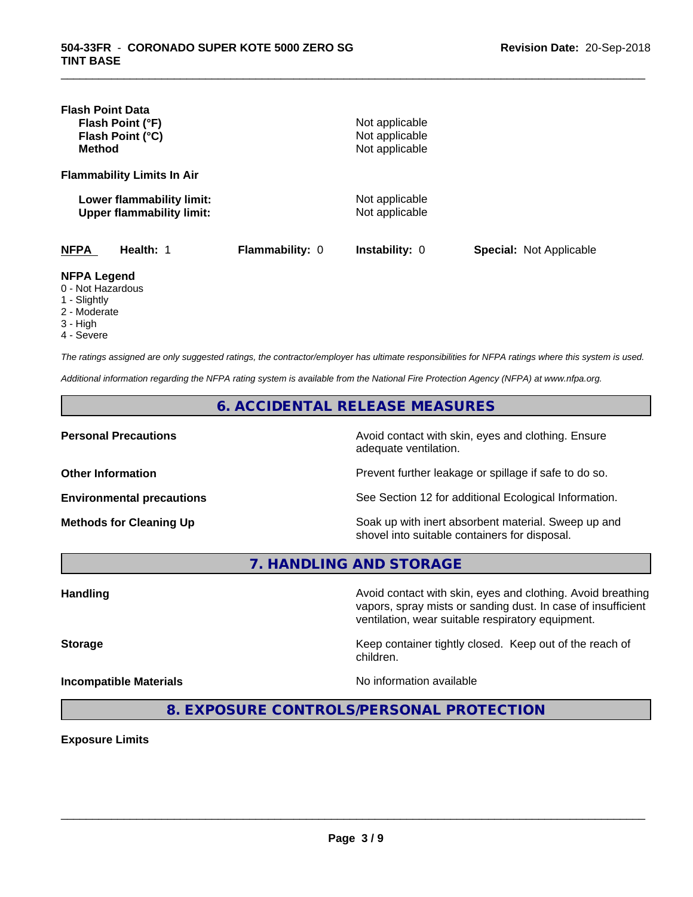| <b>Flash Point Data</b><br>Flash Point (°F)<br>Flash Point (°C)<br><b>Method</b> |                        | Not applicable<br>Not applicable<br>Not applicable |                                |
|----------------------------------------------------------------------------------|------------------------|----------------------------------------------------|--------------------------------|
| <b>Flammability Limits In Air</b>                                                |                        |                                                    |                                |
| Lower flammability limit:<br><b>Upper flammability limit:</b>                    |                        | Not applicable<br>Not applicable                   |                                |
| <b>NFPA</b><br>Health: 1                                                         | <b>Flammability: 0</b> | <b>Instability: 0</b>                              | <b>Special: Not Applicable</b> |
| <b>NFPA Legend</b><br>0 - Not Hazardous<br>1 - Slightly<br>2 - Moderate          |                        |                                                    |                                |

\_\_\_\_\_\_\_\_\_\_\_\_\_\_\_\_\_\_\_\_\_\_\_\_\_\_\_\_\_\_\_\_\_\_\_\_\_\_\_\_\_\_\_\_\_\_\_\_\_\_\_\_\_\_\_\_\_\_\_\_\_\_\_\_\_\_\_\_\_\_\_\_\_\_\_\_\_\_\_\_\_\_\_\_\_\_\_\_\_\_\_\_\_

- 
- 3 High
- 4 Severe

*The ratings assigned are only suggested ratings, the contractor/employer has ultimate responsibilities for NFPA ratings where this system is used.*

*Additional information regarding the NFPA rating system is available from the National Fire Protection Agency (NFPA) at www.nfpa.org.*

**6. ACCIDENTAL RELEASE MEASURES**

**Personal Precautions Precautions** Avoid contact with skin, eyes and clothing. Ensure adequate ventilation.

**Other Information Other Information Prevent further leakage or spillage if safe to do so.** 

**Environmental precautions** See Section 12 for additional Ecological Information.

**Methods for Cleaning Up Soak up with inert absorbent material. Sweep up and** shovel into suitable containers for disposal.

vapors, spray mists or sanding dust. In case of insufficient

ventilation, wear suitable respiratory equipment.

**7. HANDLING AND STORAGE**

Handling **Handling Avoid contact with skin, eyes and clothing. Avoid breathing Handling** 

**Storage Keep container tightly closed. Keep out of the reach of Keep** container tightly closed. Keep out of the reach of

**Incompatible Materials No information available** 

 $\overline{\phantom{a}}$  ,  $\overline{\phantom{a}}$  ,  $\overline{\phantom{a}}$  ,  $\overline{\phantom{a}}$  ,  $\overline{\phantom{a}}$  ,  $\overline{\phantom{a}}$  ,  $\overline{\phantom{a}}$  ,  $\overline{\phantom{a}}$  ,  $\overline{\phantom{a}}$  ,  $\overline{\phantom{a}}$  ,  $\overline{\phantom{a}}$  ,  $\overline{\phantom{a}}$  ,  $\overline{\phantom{a}}$  ,  $\overline{\phantom{a}}$  ,  $\overline{\phantom{a}}$  ,  $\overline{\phantom{a}}$ 

**8. EXPOSURE CONTROLS/PERSONAL PROTECTION**

children.

**Exposure Limits**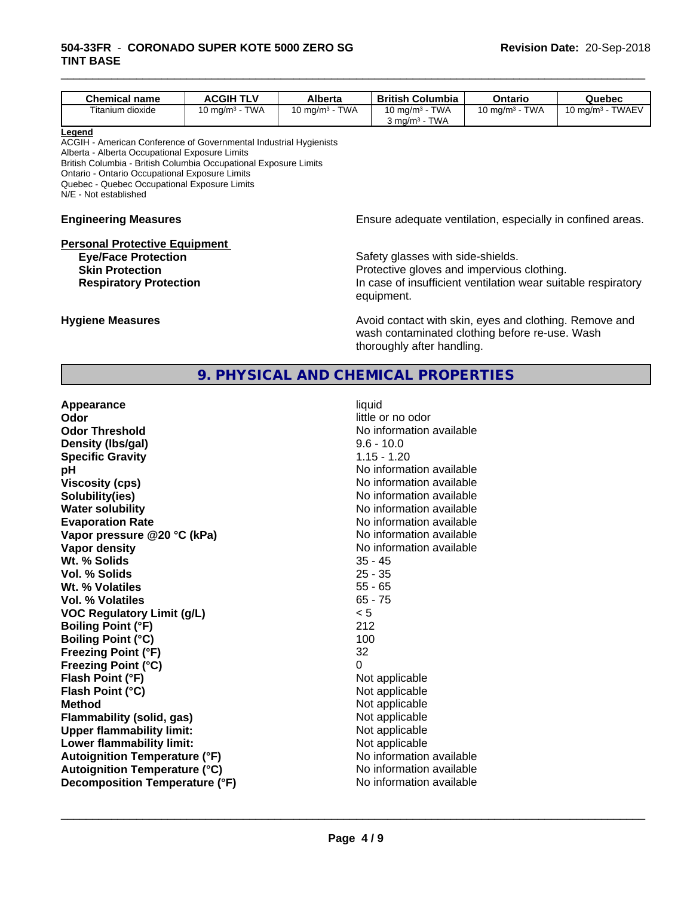| <b>Chemical name</b>                                                                                                                                                                                                                                                                                                         | <b>ACGIH TLV</b>  | Alberta           | <b>British Columbia</b>                                                                                                                                        | Ontario           | Quebec              |
|------------------------------------------------------------------------------------------------------------------------------------------------------------------------------------------------------------------------------------------------------------------------------------------------------------------------------|-------------------|-------------------|----------------------------------------------------------------------------------------------------------------------------------------------------------------|-------------------|---------------------|
| Titanium dioxide                                                                                                                                                                                                                                                                                                             | 10 mg/m $3$ - TWA | 10 mg/m $3 - TWA$ | 10 mg/m $3$ - TWA                                                                                                                                              | 10 mg/m $3$ - TWA | 10 mg/m $3$ - TWAEV |
|                                                                                                                                                                                                                                                                                                                              |                   |                   | $3$ mg/m <sup>3</sup> - TWA                                                                                                                                    |                   |                     |
| Legend<br>ACGIH - American Conference of Governmental Industrial Hygienists<br>Alberta - Alberta Occupational Exposure Limits<br>British Columbia - British Columbia Occupational Exposure Limits<br>Ontario - Ontario Occupational Exposure Limits<br>Quebec - Quebec Occupational Exposure Limits<br>N/E - Not established |                   |                   |                                                                                                                                                                |                   |                     |
| <b>Engineering Measures</b>                                                                                                                                                                                                                                                                                                  |                   |                   | Ensure adequate ventilation, especially in confined areas.                                                                                                     |                   |                     |
| <b>Personal Protective Equipment</b><br><b>Eye/Face Protection</b><br><b>Skin Protection</b><br><b>Respiratory Protection</b>                                                                                                                                                                                                |                   |                   | Safety glasses with side-shields.<br>Protective gloves and impervious clothing.<br>In case of insufficient ventilation wear suitable respiratory<br>equipment. |                   |                     |

\_\_\_\_\_\_\_\_\_\_\_\_\_\_\_\_\_\_\_\_\_\_\_\_\_\_\_\_\_\_\_\_\_\_\_\_\_\_\_\_\_\_\_\_\_\_\_\_\_\_\_\_\_\_\_\_\_\_\_\_\_\_\_\_\_\_\_\_\_\_\_\_\_\_\_\_\_\_\_\_\_\_\_\_\_\_\_\_\_\_\_\_\_

**Hygiene Measures Avoid contact with skin, eyes and clothing. Remove and Avoid contact with skin, eyes and clothing. Remove and Avoid contact with skin, eyes and clothing. Remove and** wash contaminated clothing before re-use. Wash thoroughly after handling.

# **9. PHYSICAL AND CHEMICAL PROPERTIES**

| Appearance                           | liquid                   |
|--------------------------------------|--------------------------|
| Odor                                 | little or no odor        |
| <b>Odor Threshold</b>                | No information available |
| Density (Ibs/gal)                    | $9.6 - 10.0$             |
| <b>Specific Gravity</b>              | $1.15 - 1.20$            |
| рH                                   | No information available |
| <b>Viscosity (cps)</b>               | No information available |
| Solubility(ies)                      | No information available |
| <b>Water solubility</b>              | No information available |
| <b>Evaporation Rate</b>              | No information available |
| Vapor pressure @20 °C (kPa)          | No information available |
| Vapor density                        | No information available |
| Wt. % Solids                         | $35 - 45$                |
| Vol. % Solids                        | $25 - 35$                |
| Wt. % Volatiles                      | $55 - 65$                |
| Vol. % Volatiles                     | $65 - 75$                |
| <b>VOC Regulatory Limit (g/L)</b>    | < 5                      |
| <b>Boiling Point (°F)</b>            | 212                      |
| <b>Boiling Point (°C)</b>            | 100                      |
| <b>Freezing Point (°F)</b>           | 32                       |
| <b>Freezing Point (°C)</b>           | 0                        |
| Flash Point (°F)                     | Not applicable           |
| Flash Point (°C)                     | Not applicable           |
| <b>Method</b>                        | Not applicable           |
| <b>Flammability (solid, gas)</b>     | Not applicable           |
| <b>Upper flammability limit:</b>     | Not applicable           |
| Lower flammability limit:            | Not applicable           |
| <b>Autoignition Temperature (°F)</b> | No information available |
| <b>Autoignition Temperature (°C)</b> | No information available |
| Decomposition Temperature (°F)       | No information available |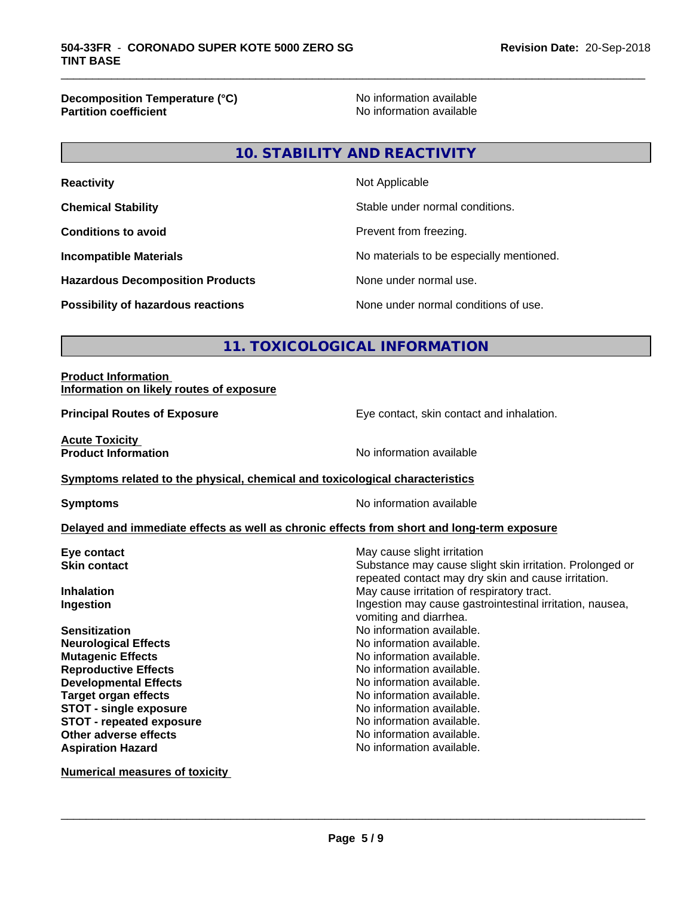**Decomposition Temperature (°C)**<br> **Partition coefficient**<br> **Partition coefficient**<br> **No** information available

**No information available** 

\_\_\_\_\_\_\_\_\_\_\_\_\_\_\_\_\_\_\_\_\_\_\_\_\_\_\_\_\_\_\_\_\_\_\_\_\_\_\_\_\_\_\_\_\_\_\_\_\_\_\_\_\_\_\_\_\_\_\_\_\_\_\_\_\_\_\_\_\_\_\_\_\_\_\_\_\_\_\_\_\_\_\_\_\_\_\_\_\_\_\_\_\_

# **10. STABILITY AND REACTIVITY**

| <b>Reactivity</b>                         | Not Applicable                           |
|-------------------------------------------|------------------------------------------|
| <b>Chemical Stability</b>                 | Stable under normal conditions.          |
| <b>Conditions to avoid</b>                | Prevent from freezing.                   |
| <b>Incompatible Materials</b>             | No materials to be especially mentioned. |
| <b>Hazardous Decomposition Products</b>   | None under normal use.                   |
| <b>Possibility of hazardous reactions</b> | None under normal conditions of use.     |

# **11. TOXICOLOGICAL INFORMATION**

# **Product Information Information on likely routes of exposure**

**Principal Routes of Exposure Exposure** Eye contact, skin contact and inhalation.

**Acute Toxicity<br>Product Information** 

**No information available** 

# **Symptoms related to the physical,chemical and toxicological characteristics**

**Symptoms** No information available

# **Delayed and immediate effects as well as chronic effects from short and long-term exposure**

| Eye contact                     | May cause slight irritation                                                                                     |
|---------------------------------|-----------------------------------------------------------------------------------------------------------------|
| <b>Skin contact</b>             | Substance may cause slight skin irritation. Prolonged or<br>repeated contact may dry skin and cause irritation. |
| <b>Inhalation</b>               | May cause irritation of respiratory tract.                                                                      |
| Ingestion                       | Ingestion may cause gastrointestinal irritation, nausea,<br>vomiting and diarrhea.                              |
| <b>Sensitization</b>            | No information available.                                                                                       |
| <b>Neurological Effects</b>     | No information available.                                                                                       |
| <b>Mutagenic Effects</b>        | No information available.                                                                                       |
| <b>Reproductive Effects</b>     | No information available.                                                                                       |
| <b>Developmental Effects</b>    | No information available.                                                                                       |
| <b>Target organ effects</b>     | No information available.                                                                                       |
| <b>STOT - single exposure</b>   | No information available.                                                                                       |
| <b>STOT - repeated exposure</b> | No information available.                                                                                       |
| Other adverse effects           | No information available.                                                                                       |
| <b>Aspiration Hazard</b>        | No information available.                                                                                       |
|                                 |                                                                                                                 |

**Numerical measures of toxicity**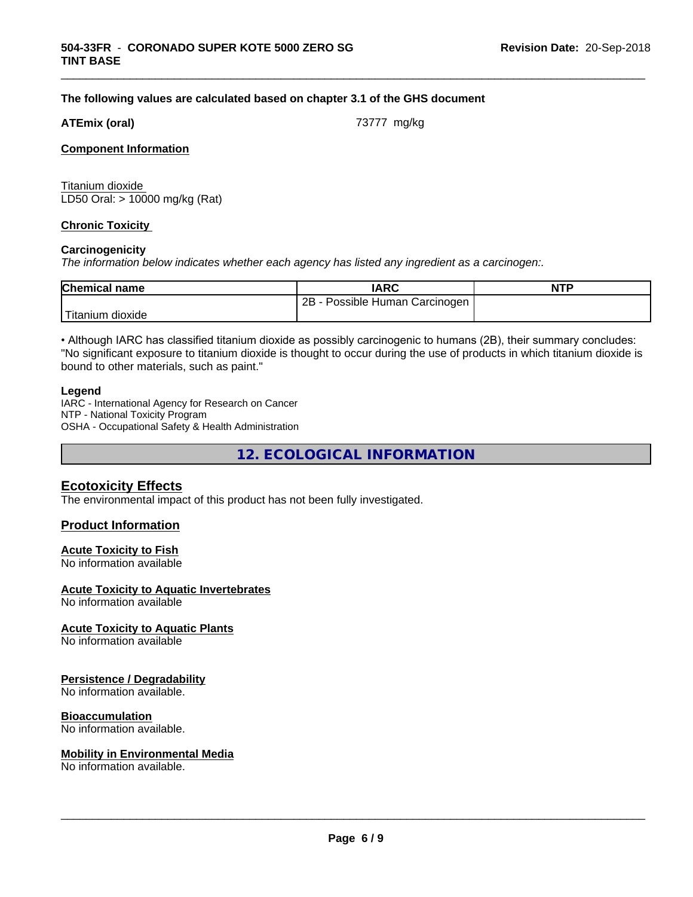# **The following values are calculated based on chapter 3.1 of the GHS document**

## **ATEmix (oral) ATEmix** (oral)

\_\_\_\_\_\_\_\_\_\_\_\_\_\_\_\_\_\_\_\_\_\_\_\_\_\_\_\_\_\_\_\_\_\_\_\_\_\_\_\_\_\_\_\_\_\_\_\_\_\_\_\_\_\_\_\_\_\_\_\_\_\_\_\_\_\_\_\_\_\_\_\_\_\_\_\_\_\_\_\_\_\_\_\_\_\_\_\_\_\_\_\_\_

## **Component Information**

Titanium dioxide LD50 Oral: > 10000 mg/kg (Rat)

## **Chronic Toxicity**

#### **Carcinogenicity**

*The information below indicateswhether each agency has listed any ingredient as a carcinogen:.*

| <b>Chemical name</b> | <b>IARC</b>                           | <b>NTP</b> |
|----------------------|---------------------------------------|------------|
|                      | 2B<br>Human<br>Carcinogen<br>Possible |            |
| Titanium<br>dioxide  |                                       |            |

• Although IARC has classified titanium dioxide as possibly carcinogenic to humans (2B), their summary concludes: "No significant exposure to titanium dioxide is thought to occur during the use of products in which titanium dioxide is bound to other materials, such as paint."

#### **Legend**

IARC - International Agency for Research on Cancer NTP - National Toxicity Program OSHA - Occupational Safety & Health Administration

**12. ECOLOGICAL INFORMATION**

# **Ecotoxicity Effects**

The environmental impact of this product has not been fully investigated.

# **Product Information**

# **Acute Toxicity to Fish**

No information available

# **Acute Toxicity to Aquatic Invertebrates**

No information available

# **Acute Toxicity to Aquatic Plants**

No information available

# **Persistence / Degradability**

No information available.

# **Bioaccumulation**

No information available.

#### **Mobility in Environmental Media**

No information available.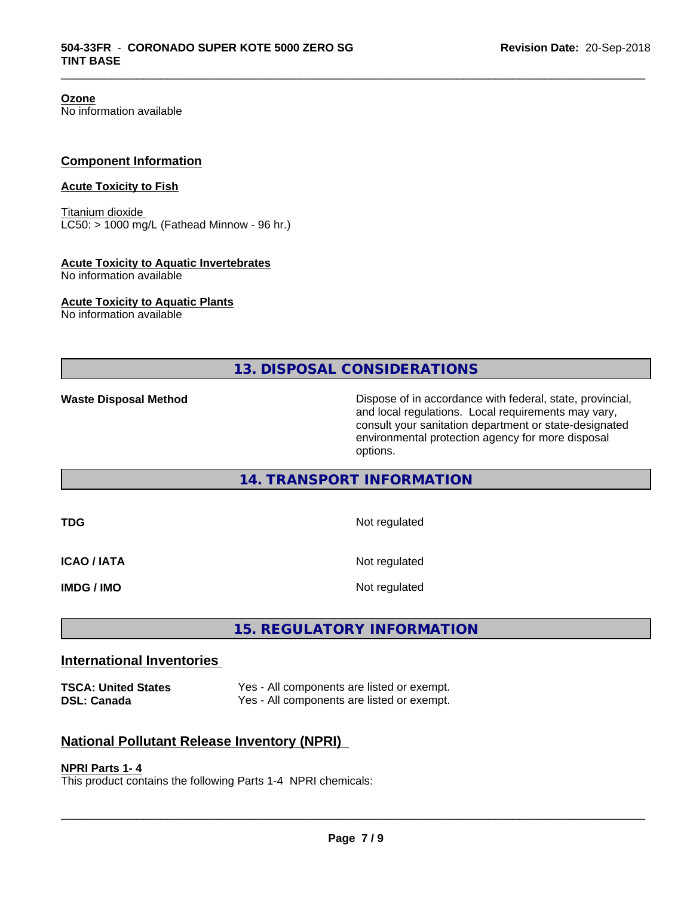**Ozone** No information available

# **Component Information**

# **Acute Toxicity to Fish**

Titanium dioxide  $LC50:$  > 1000 mg/L (Fathead Minnow - 96 hr.)

#### **Acute Toxicity to Aquatic Invertebrates**

No information available

#### **Acute Toxicity to Aquatic Plants**

No information available

**13. DISPOSAL CONSIDERATIONS**

\_\_\_\_\_\_\_\_\_\_\_\_\_\_\_\_\_\_\_\_\_\_\_\_\_\_\_\_\_\_\_\_\_\_\_\_\_\_\_\_\_\_\_\_\_\_\_\_\_\_\_\_\_\_\_\_\_\_\_\_\_\_\_\_\_\_\_\_\_\_\_\_\_\_\_\_\_\_\_\_\_\_\_\_\_\_\_\_\_\_\_\_\_

**Waste Disposal Method Dispose of in accordance with federal, state, provincial,** and local regulations. Local requirements may vary, consult your sanitation department or state-designated environmental protection agency for more disposal options.

# **14. TRANSPORT INFORMATION**

| TDG                | Not regulated |
|--------------------|---------------|
| <b>ICAO / IATA</b> | Not regulated |
| <b>IMDG / IMO</b>  | Not regulated |

# **15. REGULATORY INFORMATION**

# **International Inventories**

**TSCA: United States** Yes - All components are listed or exempt. **DSL: Canada** Yes - All components are listed or exempt.

# **National Pollutant Release Inventory (NPRI)**

#### **NPRI Parts 1- 4**

This product contains the following Parts 1-4 NPRI chemicals: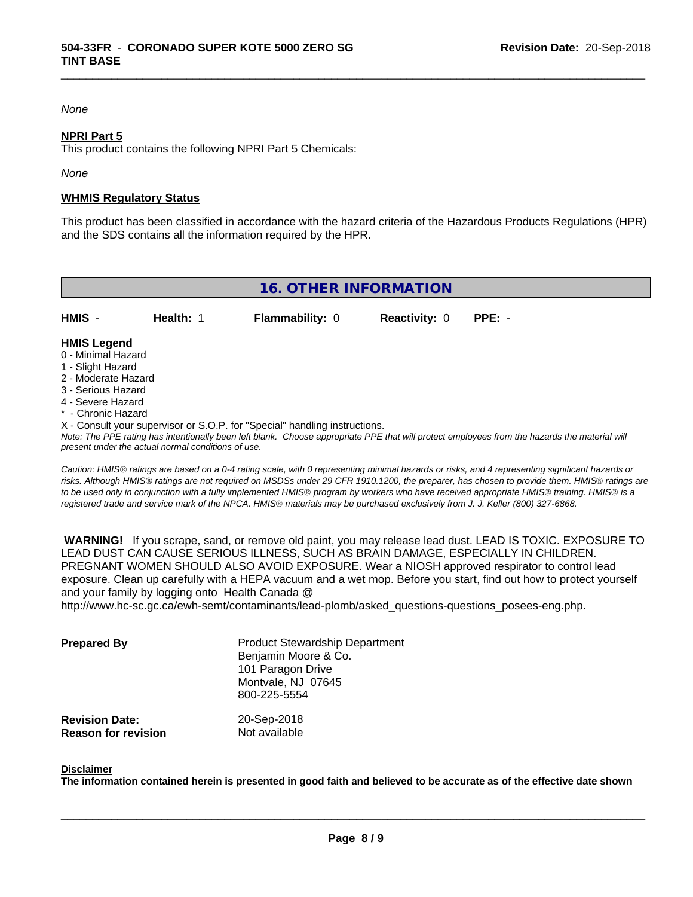#### *None*

#### **NPRI Part 5**

This product contains the following NPRI Part 5 Chemicals:

*None*

#### **WHMIS Regulatory Status**

This product has been classified in accordance with the hazard criteria of the Hazardous Products Regulations (HPR) and the SDS contains all the information required by the HPR.

\_\_\_\_\_\_\_\_\_\_\_\_\_\_\_\_\_\_\_\_\_\_\_\_\_\_\_\_\_\_\_\_\_\_\_\_\_\_\_\_\_\_\_\_\_\_\_\_\_\_\_\_\_\_\_\_\_\_\_\_\_\_\_\_\_\_\_\_\_\_\_\_\_\_\_\_\_\_\_\_\_\_\_\_\_\_\_\_\_\_\_\_\_

| <b>16. OTHER INFORMATION</b>             |                  |                        |                             |  |  |
|------------------------------------------|------------------|------------------------|-----------------------------|--|--|
| <b>HMIS</b> -                            | <b>Health: 1</b> | <b>Flammability: 0</b> | <b>Reactivity: 0 PPE: -</b> |  |  |
| <b>HMIS Legend</b><br>0 - Minimal Hazard |                  |                        |                             |  |  |

- 
- 1 Slight Hazard
- 2 Moderate Hazard
- 3 Serious Hazard
- 4 Severe Hazard
- \* Chronic Hazard
- X Consult your supervisor or S.O.P. for "Special" handling instructions.

*Note: The PPE rating has intentionally been left blank. Choose appropriate PPE that will protect employees from the hazards the material will present under the actual normal conditions of use.*

*Caution: HMISÒ ratings are based on a 0-4 rating scale, with 0 representing minimal hazards or risks, and 4 representing significant hazards or risks. Although HMISÒ ratings are not required on MSDSs under 29 CFR 1910.1200, the preparer, has chosen to provide them. HMISÒ ratings are to be used only in conjunction with a fully implemented HMISÒ program by workers who have received appropriate HMISÒ training. HMISÒ is a registered trade and service mark of the NPCA. HMISÒ materials may be purchased exclusively from J. J. Keller (800) 327-6868.*

 **WARNING!** If you scrape, sand, or remove old paint, you may release lead dust. LEAD IS TOXIC. EXPOSURE TO LEAD DUST CAN CAUSE SERIOUS ILLNESS, SUCH AS BRAIN DAMAGE, ESPECIALLY IN CHILDREN. PREGNANT WOMEN SHOULD ALSO AVOID EXPOSURE.Wear a NIOSH approved respirator to control lead exposure. Clean up carefully with a HEPA vacuum and a wet mop. Before you start, find out how to protect yourself and your family by logging onto Health Canada @

http://www.hc-sc.gc.ca/ewh-semt/contaminants/lead-plomb/asked\_questions-questions\_posees-eng.php.

| <b>Prepared By</b>                                  | <b>Product Stewardship Department</b><br>Benjamin Moore & Co.<br>101 Paragon Drive<br>Montvale, NJ 07645<br>800-225-5554 |  |
|-----------------------------------------------------|--------------------------------------------------------------------------------------------------------------------------|--|
| <b>Revision Date:</b><br><b>Reason for revision</b> | 20-Sep-2018<br>Not available                                                                                             |  |

#### **Disclaimer**

The information contained herein is presented in good faith and believed to be accurate as of the effective date shown